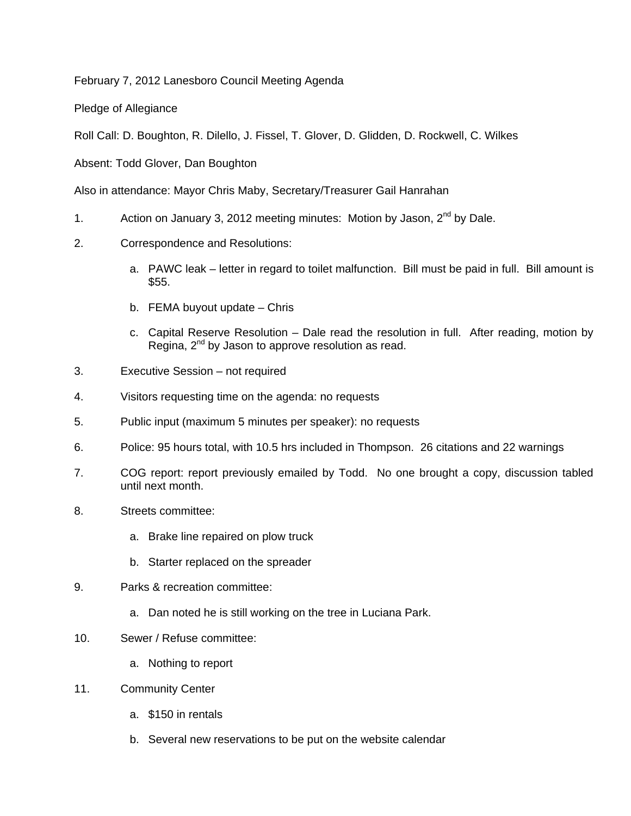February 7, 2012 Lanesboro Council Meeting Agenda

Pledge of Allegiance

Roll Call: D. Boughton, R. Dilello, J. Fissel, T. Glover, D. Glidden, D. Rockwell, C. Wilkes

Absent: Todd Glover, Dan Boughton

Also in attendance: Mayor Chris Maby, Secretary/Treasurer Gail Hanrahan

- 1. Action on January 3, 2012 meeting minutes: Motion by Jason,  $2^{nd}$  by Dale.
- 2. Correspondence and Resolutions:
	- a. PAWC leak letter in regard to toilet malfunction. Bill must be paid in full. Bill amount is \$55.
	- b. FEMA buyout update Chris
	- c. Capital Reserve Resolution Dale read the resolution in full. After reading, motion by Regina,  $2^{nd}$  by Jason to approve resolution as read.
- 3. Executive Session not required
- 4. Visitors requesting time on the agenda: no requests
- 5. Public input (maximum 5 minutes per speaker): no requests
- 6. Police: 95 hours total, with 10.5 hrs included in Thompson. 26 citations and 22 warnings
- 7. COG report: report previously emailed by Todd. No one brought a copy, discussion tabled until next month.
- 8. Streets committee:
	- a. Brake line repaired on plow truck
	- b. Starter replaced on the spreader
- 9. Parks & recreation committee:
	- a. Dan noted he is still working on the tree in Luciana Park.
- 10. Sewer / Refuse committee:
	- a. Nothing to report
- 11. Community Center
	- a. \$150 in rentals
	- b. Several new reservations to be put on the website calendar